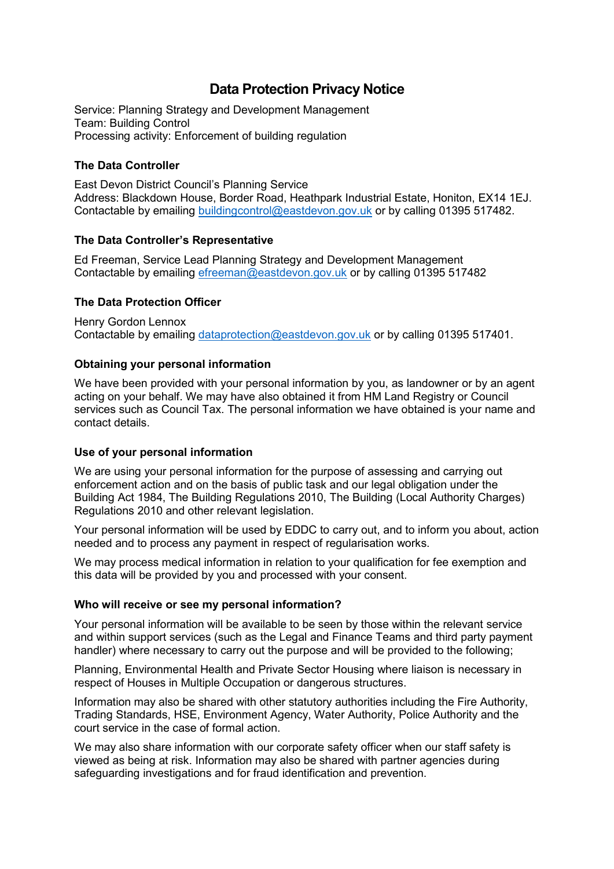# **Data Protection Privacy Notice**

Service: Planning Strategy and Development Management Team: Building Control Processing activity: Enforcement of building regulation

# **The Data Controller**

East Devon District Council's Planning Service Address: Blackdown House, Border Road, Heathpark Industrial Estate, Honiton, EX14 1EJ. Contactable by emailing [buildingcontrol@eastdevon.gov.uk](mailto:buildingcontrol@eastdevon.gov.uk) or by calling 01395 517482.

#### **The Data Controller's Representative**

Ed Freeman, Service Lead Planning Strategy and Development Management Contactable by emailing [efreeman@eastdevon.gov.uk](mailto:efreeman@eastdevon.gov.uk) or by calling 01395 517482

# **The Data Protection Officer**

Henry Gordon Lennox Contactable by emailing [dataprotection@eastdevon.gov.uk](mailto:dataprotection@eastdevon.gov.uk) or by calling 01395 517401.

# **Obtaining your personal information**

We have been provided with your personal information by you, as landowner or by an agent acting on your behalf. We may have also obtained it from HM Land Registry or Council services such as Council Tax. The personal information we have obtained is your name and contact details.

#### **Use of your personal information**

We are using your personal information for the purpose of assessing and carrying out enforcement action and on the basis of public task and our legal obligation under the Building Act 1984, The Building Regulations 2010, The Building (Local Authority Charges) Regulations 2010 and other relevant legislation.

Your personal information will be used by EDDC to carry out, and to inform you about, action needed and to process any payment in respect of regularisation works.

We may process medical information in relation to your qualification for fee exemption and this data will be provided by you and processed with your consent.

#### **Who will receive or see my personal information?**

Your personal information will be available to be seen by those within the relevant service and within support services (such as the Legal and Finance Teams and third party payment handler) where necessary to carry out the purpose and will be provided to the following;

Planning, Environmental Health and Private Sector Housing where liaison is necessary in respect of Houses in Multiple Occupation or dangerous structures.

Information may also be shared with other statutory authorities including the Fire Authority, Trading Standards, HSE, Environment Agency, Water Authority, Police Authority and the court service in the case of formal action.

We may also share information with our corporate safety officer when our staff safety is viewed as being at risk. Information may also be shared with partner agencies during safeguarding investigations and for fraud identification and prevention.